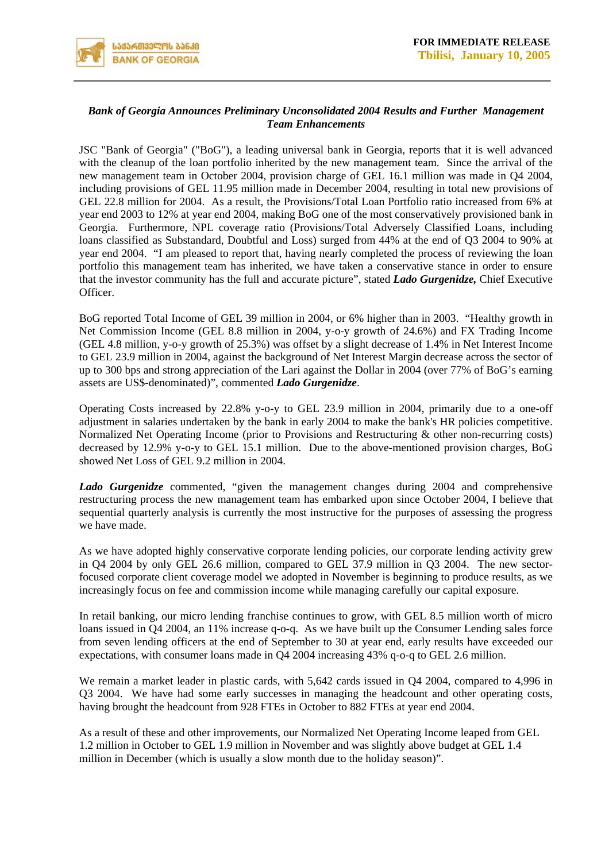

## *Bank of Georgia Announces Preliminary Unconsolidated 2004 Results and Further Management Team Enhancements*

JSC "Bank of Georgia" ("BoG"), a leading universal bank in Georgia, reports that it is well advanced with the cleanup of the loan portfolio inherited by the new management team. Since the arrival of the new management team in October 2004, provision charge of GEL 16.1 million was made in Q4 2004, including provisions of GEL 11.95 million made in December 2004, resulting in total new provisions of GEL 22.8 million for 2004. As a result, the Provisions/Total Loan Portfolio ratio increased from 6% at year end 2003 to 12% at year end 2004, making BoG one of the most conservatively provisioned bank in Georgia. Furthermore, NPL coverage ratio (Provisions/Total Adversely Classified Loans, including loans classified as Substandard, Doubtful and Loss) surged from 44% at the end of Q3 2004 to 90% at year end 2004. "I am pleased to report that, having nearly completed the process of reviewing the loan portfolio this management team has inherited, we have taken a conservative stance in order to ensure that the investor community has the full and accurate picture", stated *Lado Gurgenidze,* Chief Executive Officer.

BoG reported Total Income of GEL 39 million in 2004, or 6% higher than in 2003. "Healthy growth in Net Commission Income (GEL 8.8 million in 2004, y-o-y growth of 24.6%) and FX Trading Income (GEL 4.8 million, y-o-y growth of 25.3%) was offset by a slight decrease of 1.4% in Net Interest Income to GEL 23.9 million in 2004, against the background of Net Interest Margin decrease across the sector of up to 300 bps and strong appreciation of the Lari against the Dollar in 2004 (over 77% of BoG's earning assets are US\$-denominated)", commented *Lado Gurgenidze*.

Operating Costs increased by 22.8% y-o-y to GEL 23.9 million in 2004, primarily due to a one-off adjustment in salaries undertaken by the bank in early 2004 to make the bank's HR policies competitive. Normalized Net Operating Income (prior to Provisions and Restructuring & other non-recurring costs) decreased by 12.9% y-o-y to GEL 15.1 million. Due to the above-mentioned provision charges, BoG showed Net Loss of GEL 9.2 million in 2004.

*Lado Gurgenidze* commented, "given the management changes during 2004 and comprehensive restructuring process the new management team has embarked upon since October 2004, I believe that sequential quarterly analysis is currently the most instructive for the purposes of assessing the progress we have made.

As we have adopted highly conservative corporate lending policies, our corporate lending activity grew in Q4 2004 by only GEL 26.6 million, compared to GEL 37.9 million in Q3 2004. The new sectorfocused corporate client coverage model we adopted in November is beginning to produce results, as we increasingly focus on fee and commission income while managing carefully our capital exposure.

In retail banking, our micro lending franchise continues to grow, with GEL 8.5 million worth of micro loans issued in Q4 2004, an 11% increase q-o-q. As we have built up the Consumer Lending sales force from seven lending officers at the end of September to 30 at year end, early results have exceeded our expectations, with consumer loans made in Q4 2004 increasing 43% q-o-q to GEL 2.6 million.

We remain a market leader in plastic cards, with 5,642 cards issued in O4 2004, compared to 4,996 in Q3 2004. We have had some early successes in managing the headcount and other operating costs, having brought the headcount from 928 FTEs in October to 882 FTEs at year end 2004.

As a result of these and other improvements, our Normalized Net Operating Income leaped from GEL 1.2 million in October to GEL 1.9 million in November and was slightly above budget at GEL 1.4 million in December (which is usually a slow month due to the holiday season)".